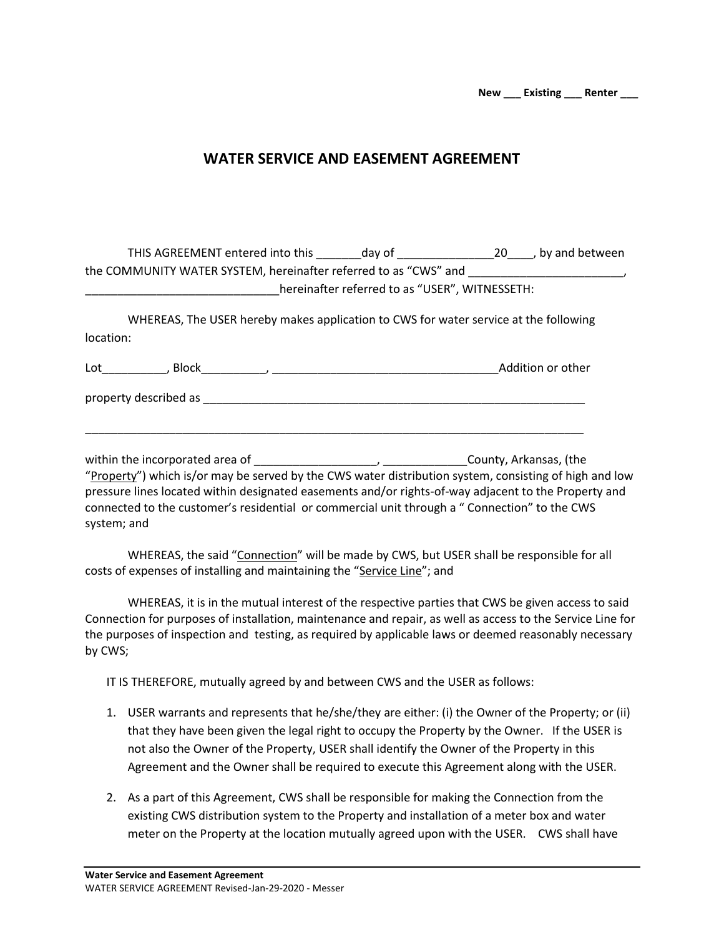## **WATER SERVICE AND EASEMENT AGREEMENT**

| THIS AGREEMENT entered into this ________day of ________________________________by and between               |                                                |  |
|--------------------------------------------------------------------------------------------------------------|------------------------------------------------|--|
|                                                                                                              |                                                |  |
|                                                                                                              | hereinafter referred to as "USER", WITNESSETH: |  |
| WHEREAS, The USER hereby makes application to CWS for water service at the following                         |                                                |  |
| location:                                                                                                    |                                                |  |
|                                                                                                              |                                                |  |
|                                                                                                              |                                                |  |
|                                                                                                              |                                                |  |
|                                                                                                              |                                                |  |
| "Property") which is/or may be served by the CWS water distribution system, consisting of high and low       |                                                |  |
| pressure lines located within designated easements and/or rights-of-way adjacent to the Property and         |                                                |  |
| connected to the customer's residential or commercial unit through a " Connection" to the CWS<br>system; and |                                                |  |
|                                                                                                              |                                                |  |

WHEREAS, the said "Connection" will be made by CWS, but USER shall be responsible for all costs of expenses of installing and maintaining the "Service Line"; and

WHEREAS, it is in the mutual interest of the respective parties that CWS be given access to said Connection for purposes of installation, maintenance and repair, as well as access to the Service Line for the purposes of inspection and testing, as required by applicable laws or deemed reasonably necessary by CWS;

IT IS THEREFORE, mutually agreed by and between CWS and the USER as follows:

- 1. USER warrants and represents that he/she/they are either: (i) the Owner of the Property; or (ii) that they have been given the legal right to occupy the Property by the Owner. If the USER is not also the Owner of the Property, USER shall identify the Owner of the Property in this Agreement and the Owner shall be required to execute this Agreement along with the USER.
- 2. As a part of this Agreement, CWS shall be responsible for making the Connection from the existing CWS distribution system to the Property and installation of a meter box and water meter on the Property at the location mutually agreed upon with the USER. CWS shall have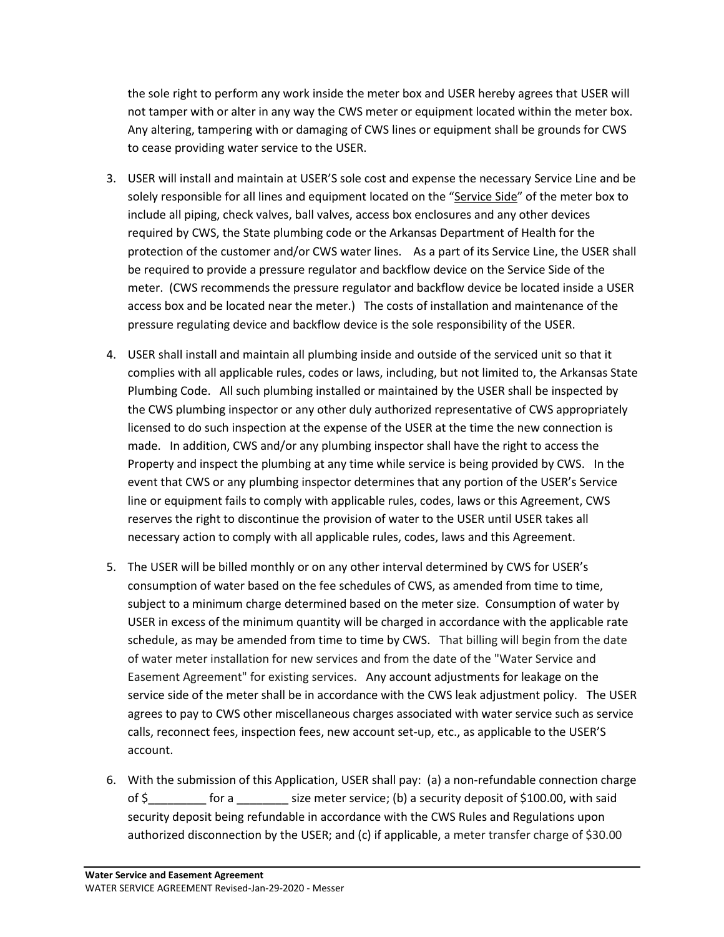the sole right to perform any work inside the meter box and USER hereby agrees that USER will not tamper with or alter in any way the CWS meter or equipment located within the meter box. Any altering, tampering with or damaging of CWS lines or equipment shall be grounds for CWS to cease providing water service to the USER.

- 3. USER will install and maintain at USER'S sole cost and expense the necessary Service Line and be solely responsible for all lines and equipment located on the "Service Side" of the meter box to include all piping, check valves, ball valves, access box enclosures and any other devices required by CWS, the State plumbing code or the Arkansas Department of Health for the protection of the customer and/or CWS water lines. As a part of its Service Line, the USER shall be required to provide a pressure regulator and backflow device on the Service Side of the meter. (CWS recommends the pressure regulator and backflow device be located inside a USER access box and be located near the meter.) The costs of installation and maintenance of the pressure regulating device and backflow device is the sole responsibility of the USER.
- 4. USER shall install and maintain all plumbing inside and outside of the serviced unit so that it complies with all applicable rules, codes or laws, including, but not limited to, the Arkansas State Plumbing Code. All such plumbing installed or maintained by the USER shall be inspected by the CWS plumbing inspector or any other duly authorized representative of CWS appropriately licensed to do such inspection at the expense of the USER at the time the new connection is made. In addition, CWS and/or any plumbing inspector shall have the right to access the Property and inspect the plumbing at any time while service is being provided by CWS. In the event that CWS or any plumbing inspector determines that any portion of the USER's Service line or equipment fails to comply with applicable rules, codes, laws or this Agreement, CWS reserves the right to discontinue the provision of water to the USER until USER takes all necessary action to comply with all applicable rules, codes, laws and this Agreement.
- 5. The USER will be billed monthly or on any other interval determined by CWS for USER's consumption of water based on the fee schedules of CWS, as amended from time to time, subject to a minimum charge determined based on the meter size. Consumption of water by USER in excess of the minimum quantity will be charged in accordance with the applicable rate schedule, as may be amended from time to time by CWS. That billing will begin from the date of water meter installation for new services and from the date of the "Water Service and Easement Agreement" for existing services. Any account adjustments for leakage on the service side of the meter shall be in accordance with the CWS leak adjustment policy. The USER agrees to pay to CWS other miscellaneous charges associated with water service such as service calls, reconnect fees, inspection fees, new account set-up, etc., as applicable to the USER'S account.
- 6. With the submission of this Application, USER shall pay: (a) a non-refundable connection charge of \$\_\_\_\_\_\_\_\_\_ for a \_\_\_\_\_\_\_\_ size meter service; (b) a security deposit of \$100.00, with said security deposit being refundable in accordance with the CWS Rules and Regulations upon authorized disconnection by the USER; and (c) if applicable, a meter transfer charge of \$30.00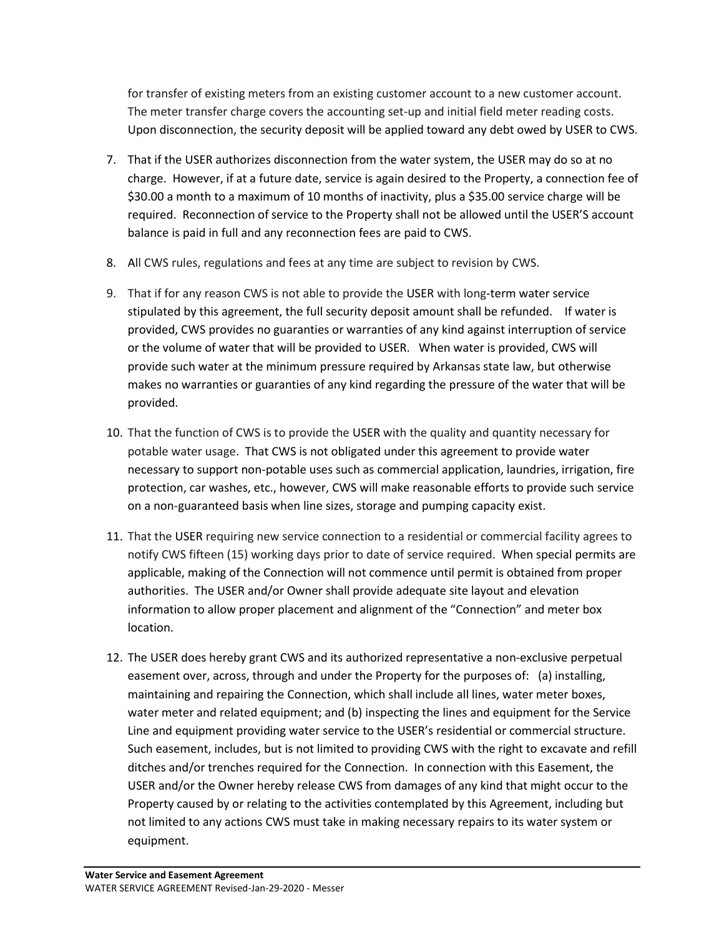for transfer of existing meters from an existing customer account to a new customer account. The meter transfer charge covers the accounting set-up and initial field meter reading costs. Upon disconnection, the security deposit will be applied toward any debt owed by USER to CWS.

- 7. That if the USER authorizes disconnection from the water system, the USER may do so at no charge. However, if at a future date, service is again desired to the Property, a connection fee of \$30.00 a month to a maximum of 10 months of inactivity, plus a \$35.00 service charge will be required. Reconnection of service to the Property shall not be allowed until the USER'S account balance is paid in full and any reconnection fees are paid to CWS.
- 8. All CWS rules, regulations and fees at any time are subject to revision by CWS.
- 9. That if for any reason CWS is not able to provide the USER with long-term water service stipulated by this agreement, the full security deposit amount shall be refunded. If water is provided, CWS provides no guaranties or warranties of any kind against interruption of service or the volume of water that will be provided to USER. When water is provided, CWS will provide such water at the minimum pressure required by Arkansas state law, but otherwise makes no warranties or guaranties of any kind regarding the pressure of the water that will be provided.
- 10. That the function of CWS is to provide the USER with the quality and quantity necessary for potable water usage. That CWS is not obligated under this agreement to provide water necessary to support non-potable uses such as commercial application, laundries, irrigation, fire protection, car washes, etc., however, CWS will make reasonable efforts to provide such service on a non-guaranteed basis when line sizes, storage and pumping capacity exist.
- 11. That the USER requiring new service connection to a residential or commercial facility agrees to notify CWS fifteen (15) working days prior to date of service required. When special permits are applicable, making of the Connection will not commence until permit is obtained from proper authorities. The USER and/or Owner shall provide adequate site layout and elevation information to allow proper placement and alignment of the "Connection" and meter box location.
- 12. The USER does hereby grant CWS and its authorized representative a non-exclusive perpetual easement over, across, through and under the Property for the purposes of: (a) installing, maintaining and repairing the Connection, which shall include all lines, water meter boxes, water meter and related equipment; and (b) inspecting the lines and equipment for the Service Line and equipment providing water service to the USER's residential or commercial structure. Such easement, includes, but is not limited to providing CWS with the right to excavate and refill ditches and/or trenches required for the Connection. In connection with this Easement, the USER and/or the Owner hereby release CWS from damages of any kind that might occur to the Property caused by or relating to the activities contemplated by this Agreement, including but not limited to any actions CWS must take in making necessary repairs to its water system or equipment.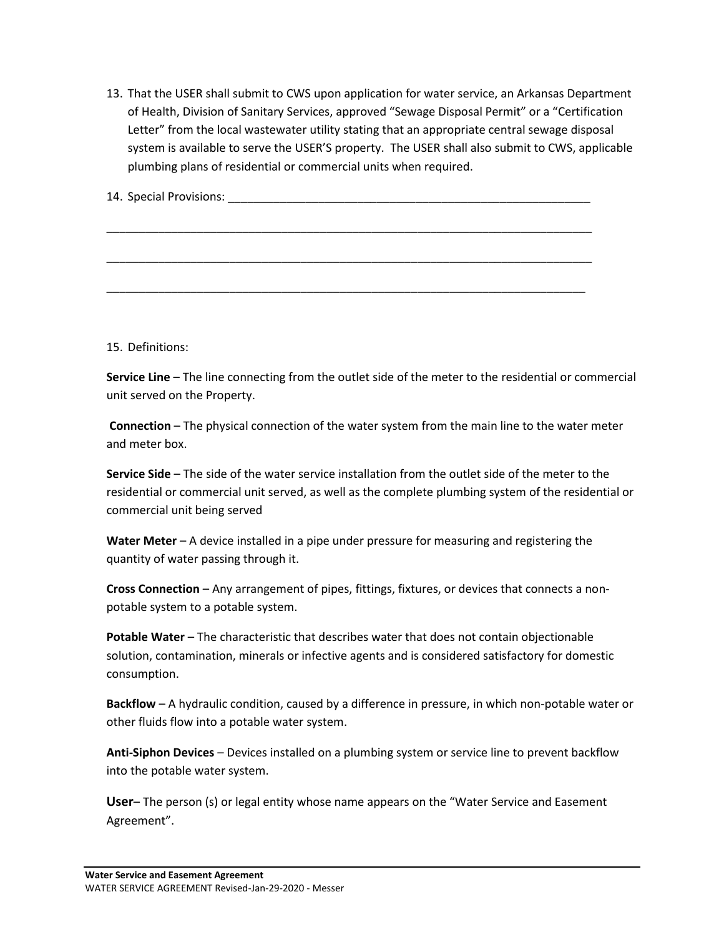13. That the USER shall submit to CWS upon application for water service, an Arkansas Department of Health, Division of Sanitary Services, approved "Sewage Disposal Permit" or a "Certification Letter" from the local wastewater utility stating that an appropriate central sewage disposal system is available to serve the USER'S property. The USER shall also submit to CWS, applicable plumbing plans of residential or commercial units when required.

14. Special Provisions:

\_\_\_\_\_\_\_\_\_\_\_\_\_\_\_\_\_\_\_\_\_\_\_\_\_\_\_\_\_\_\_\_\_\_\_\_\_\_\_\_\_\_\_\_\_\_\_\_\_\_\_\_\_\_\_\_\_\_\_\_\_\_\_\_\_\_\_\_\_\_\_\_\_\_\_

\_\_\_\_\_\_\_\_\_\_\_\_\_\_\_\_\_\_\_\_\_\_\_\_\_\_\_\_\_\_\_\_\_\_\_\_\_\_\_\_\_\_\_\_\_\_\_\_\_\_\_\_\_\_\_\_\_\_\_\_\_\_\_\_\_\_\_\_\_\_\_\_\_\_\_

\_\_\_\_\_\_\_\_\_\_\_\_\_\_\_\_\_\_\_\_\_\_\_\_\_\_\_\_\_\_\_\_\_\_\_\_\_\_\_\_\_\_\_\_\_\_\_\_\_\_\_\_\_\_\_\_\_\_\_\_\_\_\_\_\_\_\_\_\_\_\_\_\_\_

15. Definitions:

**Service Line** – The line connecting from the outlet side of the meter to the residential or commercial unit served on the Property.

**Connection** – The physical connection of the water system from the main line to the water meter and meter box.

**Service Side** – The side of the water service installation from the outlet side of the meter to the residential or commercial unit served, as well as the complete plumbing system of the residential or commercial unit being served

**Water Meter** – A device installed in a pipe under pressure for measuring and registering the quantity of water passing through it.

**Cross Connection** – Any arrangement of pipes, fittings, fixtures, or devices that connects a nonpotable system to a potable system.

**Potable Water** – The characteristic that describes water that does not contain objectionable solution, contamination, minerals or infective agents and is considered satisfactory for domestic consumption.

**Backflow** – A hydraulic condition, caused by a difference in pressure, in which non-potable water or other fluids flow into a potable water system.

**Anti-Siphon Devices** – Devices installed on a plumbing system or service line to prevent backflow into the potable water system.

**User**– The person (s) or legal entity whose name appears on the "Water Service and Easement Agreement".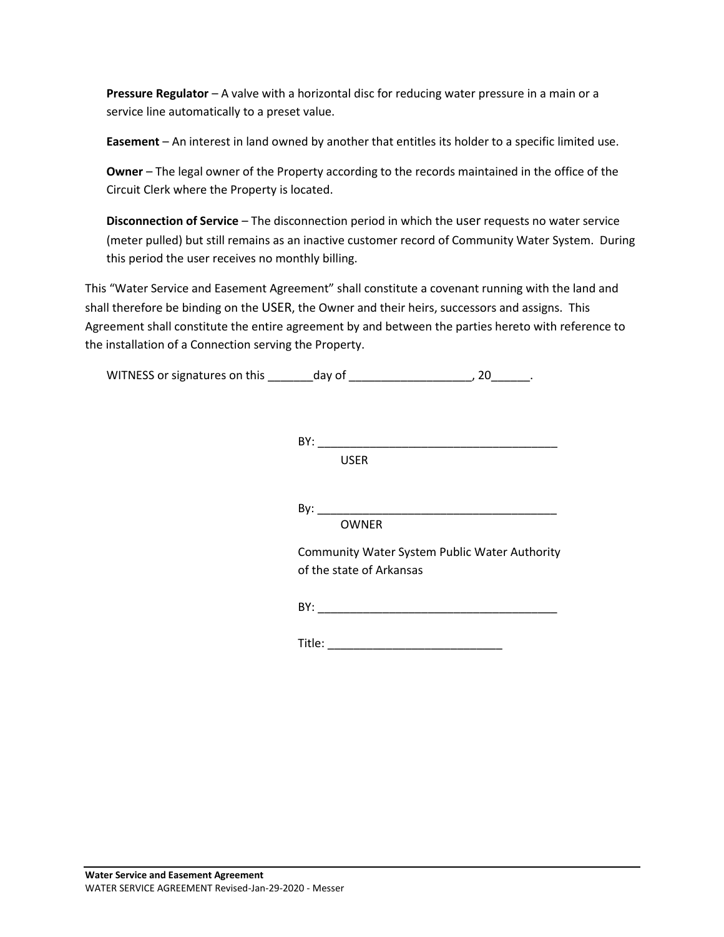**Pressure Regulator** – A valve with a horizontal disc for reducing water pressure in a main or a service line automatically to a preset value.

**Easement** – An interest in land owned by another that entitles its holder to a specific limited use.

**Owner** – The legal owner of the Property according to the records maintained in the office of the Circuit Clerk where the Property is located.

**Disconnection of Service** – The disconnection period in which the user requests no water service (meter pulled) but still remains as an inactive customer record of Community Water System. During this period the user receives no monthly billing.

This "Water Service and Easement Agreement" shall constitute a covenant running with the land and shall therefore be binding on the USER, the Owner and their heirs, successors and assigns. This Agreement shall constitute the entire agreement by and between the parties hereto with reference to the installation of a Connection serving the Property.

WITNESS or signatures on this \_\_\_\_\_\_\_\_day of \_\_\_\_\_\_\_\_\_\_\_\_\_\_\_\_\_\_\_\_\_, 20\_\_\_\_\_\_\_.

| BY:                                                                       |
|---------------------------------------------------------------------------|
| <b>USER</b>                                                               |
|                                                                           |
|                                                                           |
| <b>OWNER</b>                                                              |
| Community Water System Public Water Authority<br>of the state of Arkansas |
|                                                                           |
| Title:                                                                    |